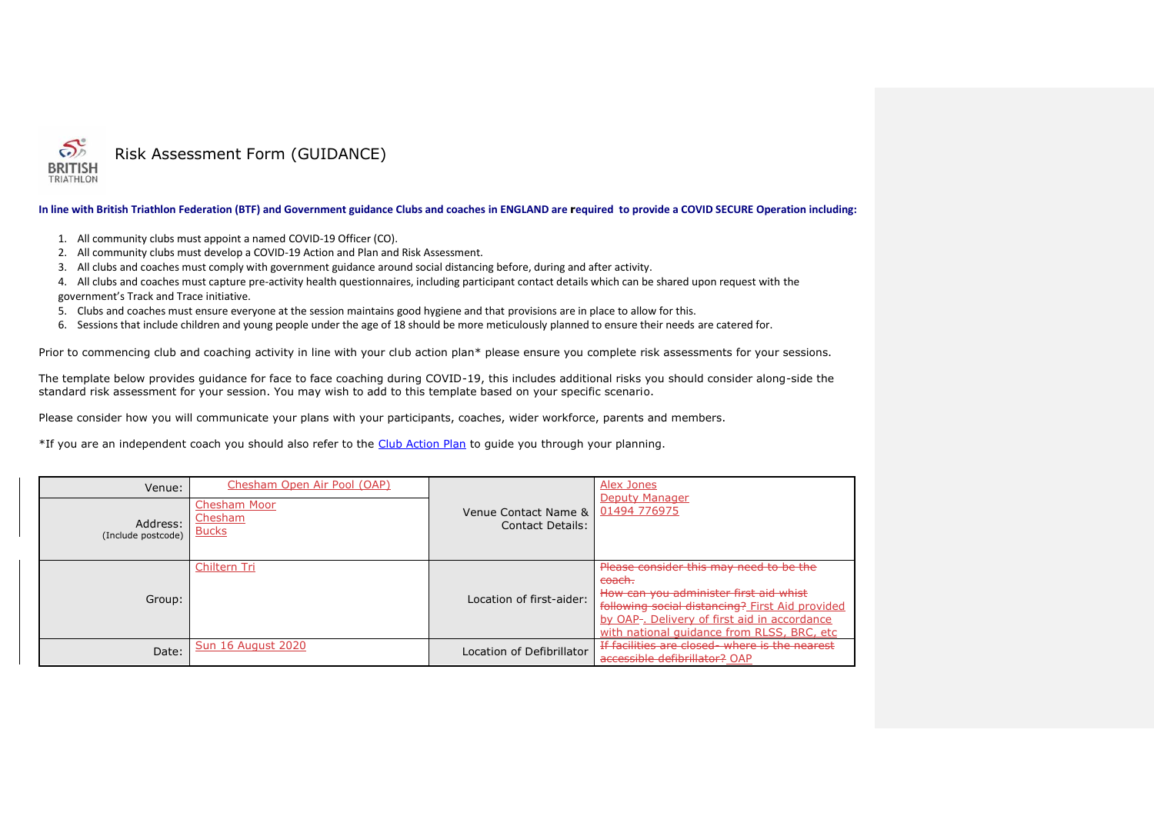

## **In line with British Triathlon Federation (BTF) and Government guidance Clubs and coaches in ENGLAND are required to provide a COVID SECURE Operation including:**

- 1. All community clubs must appoint a named COVID-19 Officer (CO).
- 2. All community clubs must develop a COVID-19 Action and Plan and Risk Assessment.
- 3. All clubs and coaches must comply with government guidance around social distancing before, during and after activity.
- 4. All clubs and coaches must capture pre-activity health questionnaires, including participant contact details which can be shared upon request with the government's Track and Trace initiative.
- 5. Clubs and coaches must ensure everyone at the session maintains good hygiene and that provisions are in place to allow for this.
- 6. Sessions that include children and young people under the age of 18 should be more meticulously planned to ensure their needs are catered for.

Prior to commencing club and coaching activity in line with your club action plan\* please ensure you complete risk assessments for your sessions.

The template below provides guidance for face to face coaching during COVID-19, this includes additional risks you should consider along-side the standard risk assessment for your session. You may wish to add to this template based on your specific scenario.

Please consider how you will communicate your plans with your participants, coaches, wider workforce, parents and members.

\*If you are an independent coach you should also refer to the [Club Action Plan](https://www.triathlonengland.org/resources/club-information/templates-and-guidance) to guide you through your planning.

| Chesham Open Air Pool (OAP)<br>Venue:<br><b>Chesham Moor</b><br>Chesham<br>Address:<br><b>Bucks</b><br>(Include postcode) |                           | Venue Contact Name &<br>Contact Details: | Alex Jones<br>Deputy Manager<br>01494 776975                                                                                                                                                                                                  |
|---------------------------------------------------------------------------------------------------------------------------|---------------------------|------------------------------------------|-----------------------------------------------------------------------------------------------------------------------------------------------------------------------------------------------------------------------------------------------|
| Group:                                                                                                                    | Chiltern Tri              | Location of first-aider:                 | Please consider this may need to be the<br>coach.<br>How can you administer first aid whist<br>following social distancing? First Aid provided<br>by OAP-. Delivery of first aid in accordance<br>with national quidance from RLSS, BRC, etc. |
| Date:                                                                                                                     | <b>Sun 16 August 2020</b> | Location of Defibrillator                | If facilities are closed - where is the nearest<br>accessible defibrillator? OAP                                                                                                                                                              |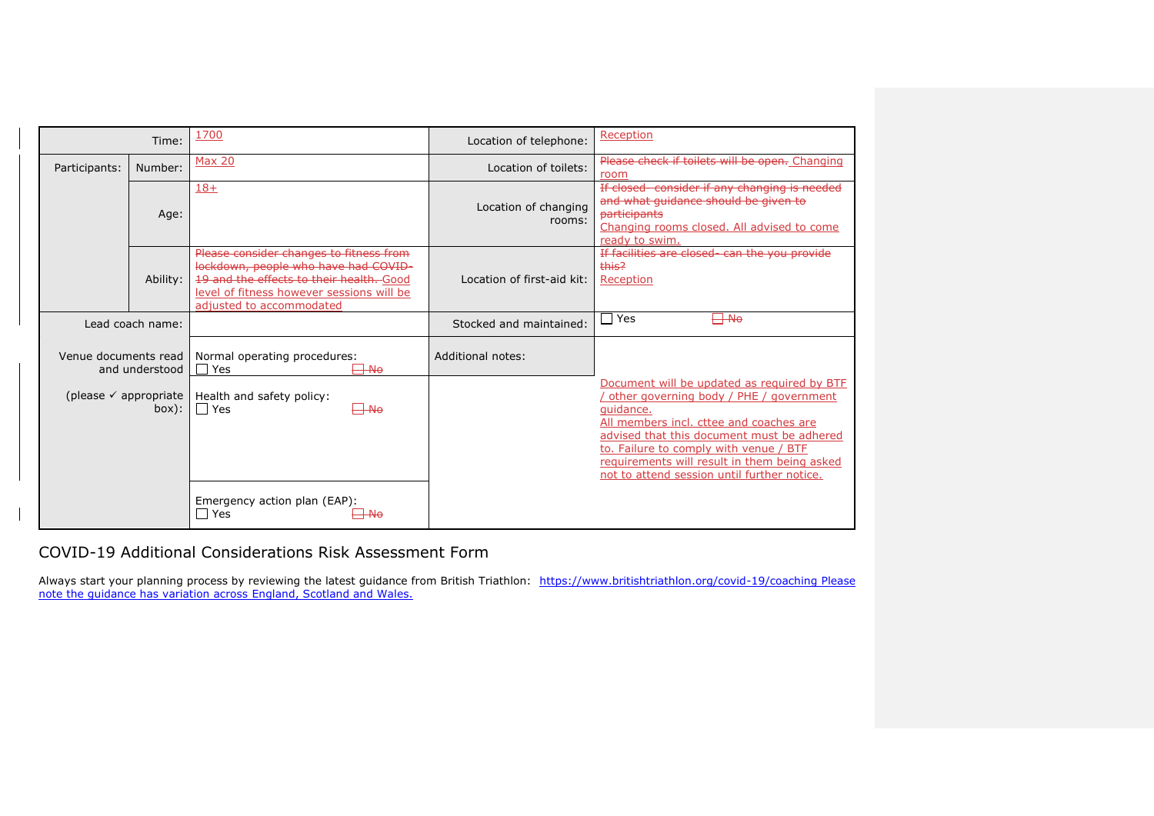|                                           | Time:            | 1700                                                                                                                                                                                                 | Location of telephone:         | Reception                                                                                                                                                                                                                                                                                                                             |  |  |
|-------------------------------------------|------------------|------------------------------------------------------------------------------------------------------------------------------------------------------------------------------------------------------|--------------------------------|---------------------------------------------------------------------------------------------------------------------------------------------------------------------------------------------------------------------------------------------------------------------------------------------------------------------------------------|--|--|
| Participants:                             | Number:          | <b>Max 20</b>                                                                                                                                                                                        | Location of toilets:           | Please check if toilets will be open. Changing<br>room                                                                                                                                                                                                                                                                                |  |  |
|                                           | Age:             | $18+$                                                                                                                                                                                                | Location of changing<br>rooms: | If closed-consider if any changing is needed<br>and what quidance should be given to<br>participants<br>Changing rooms closed. All advised to come<br>ready to swim.                                                                                                                                                                  |  |  |
|                                           | Ability:         | Please consider changes to fitness from<br>lockdown, people who have had COVID-<br>19 and the effects to their health. Good<br>level of fitness however sessions will be<br>adjusted to accommodated | Location of first-aid kit:     | If facilities are closed can the you provide<br>this?<br>Reception                                                                                                                                                                                                                                                                    |  |  |
|                                           | Lead coach name: |                                                                                                                                                                                                      | Stocked and maintained:        | <del>∣ No</del><br>Yes                                                                                                                                                                                                                                                                                                                |  |  |
| Venue documents read                      | and understood   | Normal operating procedures:<br>$\exists$ Ne<br>Yes                                                                                                                                                  | Additional notes:              |                                                                                                                                                                                                                                                                                                                                       |  |  |
| (please $\checkmark$ appropriate<br>box): |                  | Health and safety policy:<br>$\Box$ Yes<br>⊣—No                                                                                                                                                      |                                | Document will be updated as required by BTF<br>other governing body / PHE / government<br>quidance.<br>All members incl. cttee and coaches are<br>advised that this document must be adhered<br>to. Failure to comply with venue / BTF<br>requirements will result in them being asked<br>not to attend session until further notice. |  |  |
|                                           |                  | Emergency action plan (EAP):<br>l Yes                                                                                                                                                                |                                |                                                                                                                                                                                                                                                                                                                                       |  |  |

COVID-19 Additional Considerations Risk Assessment Form

Always start your planning process by reviewing the latest guidance from British Triathlon: <https://www.britishtriathlon.org/covid-19/coaching> Please note the guidance has variation across England, Scotland and Wales.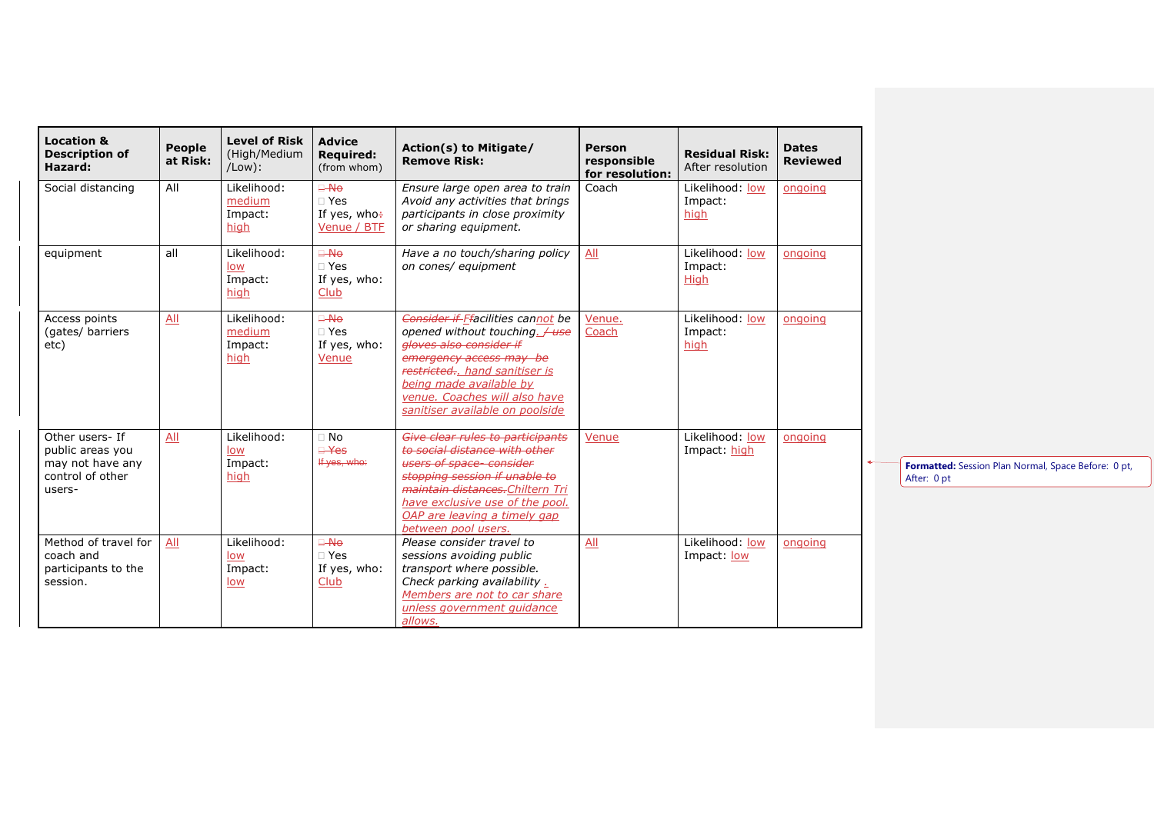| <b>Location &amp;</b><br><b>Description of</b><br>Hazard:                             | People<br>at Risk: | <b>Level of Risk</b><br>(High/Medium<br>$/$ Low $)$ : | <b>Advice</b><br><b>Required:</b><br>(from whom)             | Action(s) to Mitigate/<br><b>Remove Risk:</b>                                                                                                                                                                                                               | <b>Person</b><br>responsible<br>for resolution: | <b>Residual Risk:</b><br>After resolution | <b>Dates</b><br><b>Reviewed</b> |
|---------------------------------------------------------------------------------------|--------------------|-------------------------------------------------------|--------------------------------------------------------------|-------------------------------------------------------------------------------------------------------------------------------------------------------------------------------------------------------------------------------------------------------------|-------------------------------------------------|-------------------------------------------|---------------------------------|
| Social distancing                                                                     | All                | Likelihood:<br>medium<br>Impact:<br>high              | <del>⊟ No</del><br>$\Box$ Yes<br>If yes, who÷<br>Venue / BTF | Ensure large open area to train<br>Avoid any activities that brings<br>participants in close proximity<br>or sharing equipment.                                                                                                                             | Coach                                           | Likelihood: low<br>Impact:<br>high        | ongoing                         |
| equipment                                                                             | all                | Likelihood:<br><u>low</u><br>Impact:<br>high          | <del>⊟ No</del><br>$\Box$ Yes<br>If yes, who:<br>Club        | Have a no touch/sharing policy<br>on cones/ equipment                                                                                                                                                                                                       | All                                             | Likelihood: low<br>Impact:<br>High        | ongoing                         |
| Access points<br>(gates/ barriers<br>etc)                                             | All                | Likelihood:<br>medium<br>Impact:<br>high              | <del>⊟ No</del><br>$\Box$ Yes<br>If yes, who:<br>Venue       | Consider if Ffacilities cannot be<br>opened without touching. / use<br>gloves also consider if<br>emergency access may be<br>restricted hand sanitiser is<br>being made available by<br>venue. Coaches will also have<br>sanitiser available on poolside    | Venue.<br>Coach                                 | Likelihood: low<br>Impact:<br>high        | ongoing                         |
| Other users- If<br>public areas you<br>may not have any<br>control of other<br>users- | All                | Likelihood:<br><u>low</u><br>Impact:<br>high          | $\Box$ No<br>$\mathsf{H}$ $\mathsf{H}$<br>If yes, who:       | Give clear rules to participants<br>to social distance with other<br>users of space-consider<br>stopping session if unable to<br>maintain distances. Chiltern Tri<br>have exclusive use of the pool.<br>OAP are leaving a timely gap<br>between pool users. | Venue                                           | Likelihood: low<br>Impact: high           | ongoing                         |
| Method of travel for<br>coach and<br>participants to the<br>session.                  | All                | Likelihood:<br>low<br>Impact:<br><u>low</u>           | <del>⊟ No</del><br>$\Box$ Yes<br>If yes, who:<br>Club        | Please consider travel to<br>sessions avoiding public<br>transport where possible.<br>Check parking availability .<br>Members are not to car share<br>unless government quidance<br>allows.                                                                 | All                                             | Likelihood: low<br>Impact: low            | ongoing                         |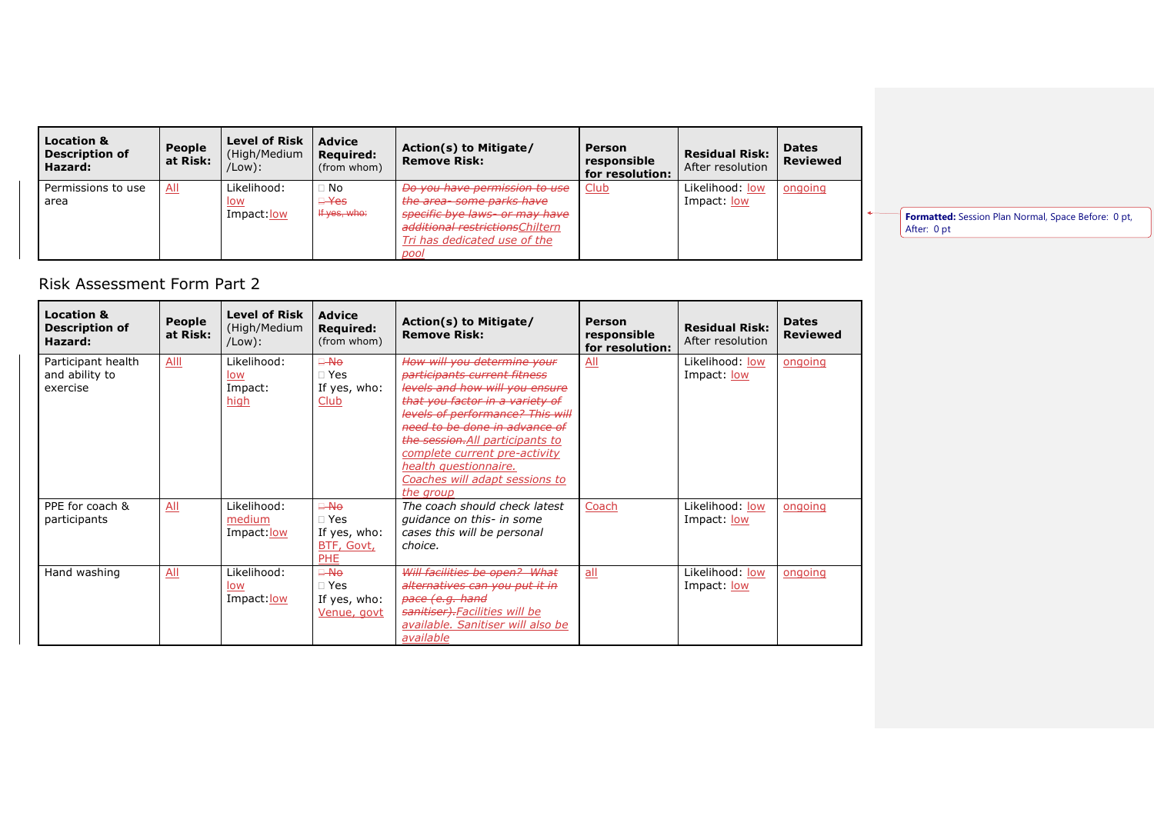| <b>Location &amp;</b><br><b>Description of</b><br>Hazard: | People<br>at Risk:         | <b>Level of Risk</b><br>(High/Medium<br>/Low): | <b>Advice</b><br><b>Required:</b><br>(from whom) | Action(s) to Mitigate/<br><b>Remove Risk:</b>                                                                                                                           | Person<br>responsible<br>for resolution: | <b>Residual Risk:</b><br>After resolution | <b>Dates</b><br><b>Reviewed</b> |
|-----------------------------------------------------------|----------------------------|------------------------------------------------|--------------------------------------------------|-------------------------------------------------------------------------------------------------------------------------------------------------------------------------|------------------------------------------|-------------------------------------------|---------------------------------|
| Permissions to use<br>area                                | $\underline{\mathsf{All}}$ | Likelihood:<br>low<br>Impact: low              | $\Box$ No<br>$\Box$ Yes<br>If yes, who:          | Do you have permission to use<br>the area-some parks have<br>specific bye laws- or may have<br>additional restrictions Chiltern<br>Tri has dedicated use of the<br>pool | <b>Club</b>                              | Likelihood: low<br>Impact: low            | ongoing                         |

**Formatted:** Session Plan Normal, Space Before: 0 pt, After: 0 pt

## Risk Assessment Form Part 2

| <b>Location &amp;</b><br><b>Description of</b><br>Hazard: | People<br>at Risk: | <b>Level of Risk</b><br>(High/Medium<br>/Low): | <b>Advice</b><br><b>Required:</b><br>(from whom)                    | Action(s) to Mitigate/<br><b>Remove Risk:</b>                                                                                                                                                                                                                                                                                                      | Person<br>responsible<br>for resolution: | <b>Residual Risk:</b><br>After resolution | <b>Dates</b><br><b>Reviewed</b> |
|-----------------------------------------------------------|--------------------|------------------------------------------------|---------------------------------------------------------------------|----------------------------------------------------------------------------------------------------------------------------------------------------------------------------------------------------------------------------------------------------------------------------------------------------------------------------------------------------|------------------------------------------|-------------------------------------------|---------------------------------|
| Participant health<br>and ability to<br>exercise          | Alll               | Likelihood:<br>low<br>Impact:<br>high          | $\Box$ No<br>$\sqcap$ Yes<br>If yes, who:<br>Club                   | How will you determine your<br>participants current fitness<br>levels and how will you ensure<br>that you factor in a variety of<br>levels of performance? This will<br>need to be done in advance of<br>the session. All participants to<br>complete current pre-activity<br>health questionnaire.<br>Coaches will adapt sessions to<br>the group | All                                      | Likelihood: low<br>Impact: low            | ongoing                         |
| PPE for coach &<br>participants                           | All                | Likelihood:<br>medium<br>Impact: low           | $\Box$ No<br>$\Box$ Yes<br>If yes, who:<br>BTF, Govt,<br><b>PHE</b> | The coach should check latest<br>quidance on this- in some<br>cases this will be personal<br>choice.                                                                                                                                                                                                                                               | Coach                                    | Likelihood: low<br>Impact: low            | ongoing                         |
| Hand washing                                              | All                | Likelihood:<br>low<br>Impact: low              | $\Box$ No<br>$\sqcap$ Yes<br>If yes, who:<br>Venue, govt            | Will facilities be open? What<br>alternatives can you put it in<br>pace (e.g. hand<br>sanitiser)-Facilities will be<br>available. Sanitiser will also be<br>available                                                                                                                                                                              | all                                      | Likelihood: low<br>Impact: low            | ongoing                         |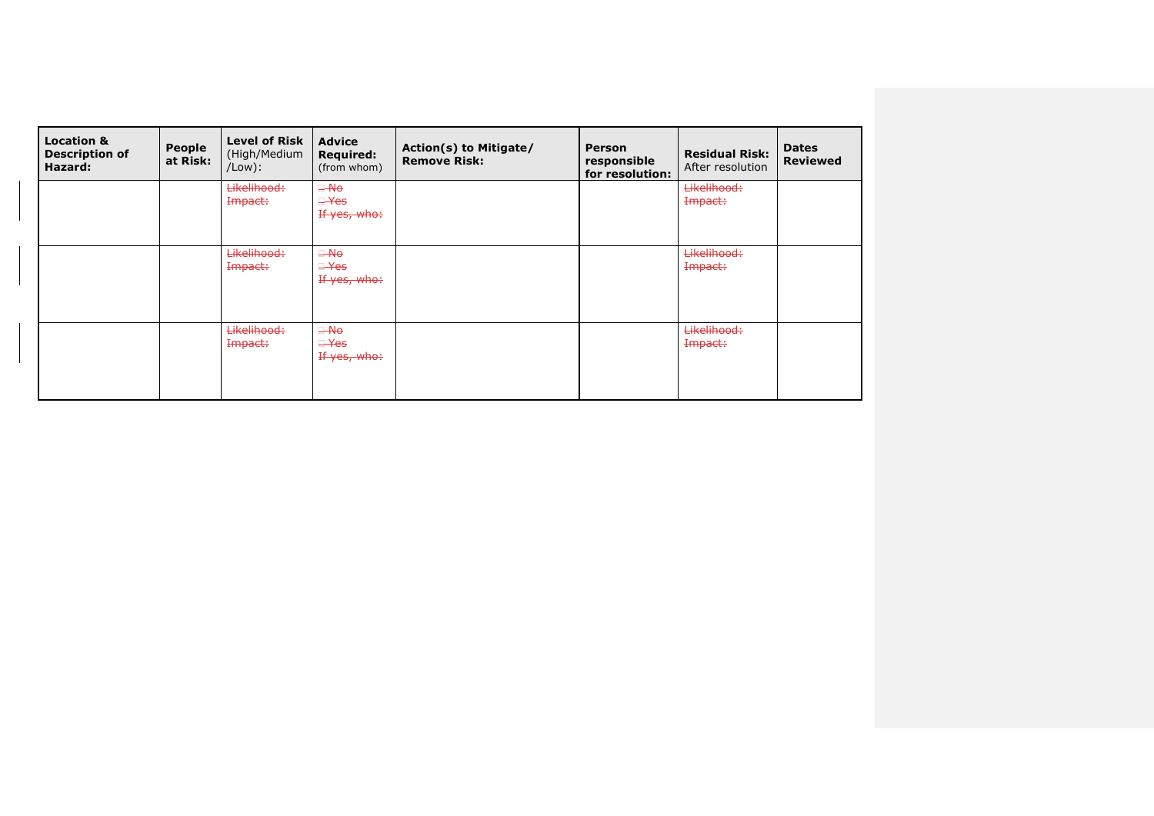| <b>Location &amp;</b><br><b>Description of</b><br>Hazard: | <b>People</b><br>at Risk: | <b>Level of Risk</b><br>(High/Medium<br>$/$ Low $)$ : | <b>Advice</b><br><b>Required:</b><br>(from whom) | Action(s) to Mitigate/<br><b>Remove Risk:</b> | <b>Person</b><br>responsible<br>for resolution: | <b>Residual Risk:</b><br>After resolution | <b>Dates</b><br><b>Reviewed</b> |
|-----------------------------------------------------------|---------------------------|-------------------------------------------------------|--------------------------------------------------|-----------------------------------------------|-------------------------------------------------|-------------------------------------------|---------------------------------|
|                                                           |                           | Likelihood:<br>Impact:                                | $\Box$ -No<br><del>□ Yes</del><br>If yes, who:   |                                               |                                                 | Likelihood:<br>Impact:                    |                                 |
|                                                           |                           | <b>Likelihood:</b><br>Impact:                         | $\Box$ No<br>$\Box$ Yes<br>If yes, who:          |                                               |                                                 | Likelihood:<br>Impact:                    |                                 |
|                                                           |                           | <b>Likelihood:</b><br>Impact:                         | $\Box$ No<br>$\Box$ Yes<br>If yes, who:          |                                               |                                                 | Likelihood:<br>Impact:                    |                                 |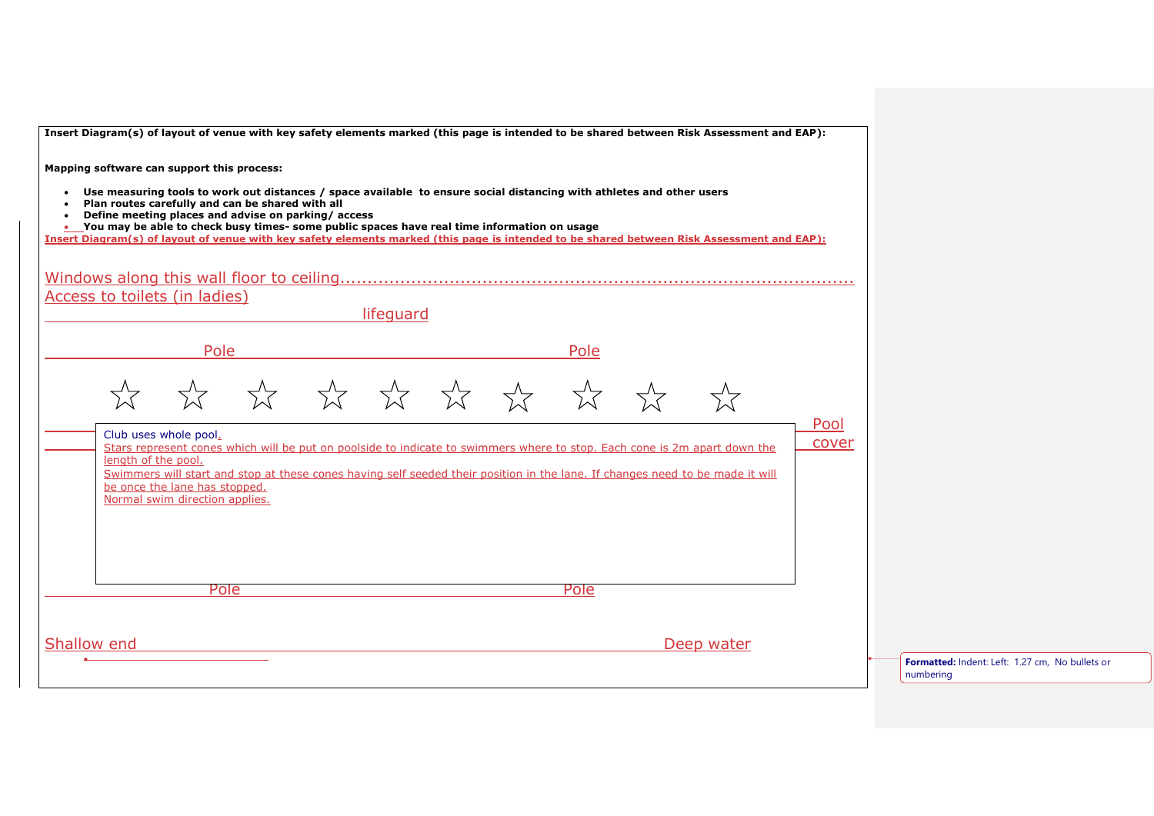| Insert Diagram(s) of layout of venue with key safety elements marked (this page is intended to be shared between Risk Assessment and EAP):                                                                                                                                                      |                                                              |
|-------------------------------------------------------------------------------------------------------------------------------------------------------------------------------------------------------------------------------------------------------------------------------------------------|--------------------------------------------------------------|
| Mapping software can support this process:                                                                                                                                                                                                                                                      |                                                              |
| • Use measuring tools to work out distances / space available to ensure social distancing with athletes and other users<br>Plan routes carefully and can be shared with all                                                                                                                     |                                                              |
| Define meeting places and advise on parking/access<br>You may be able to check busy times- some public spaces have real time information on usage<br>Insert Diagram(s) of layout of venue with key safety elements marked (this page is intended to be shared between Risk Assessment and EAP): |                                                              |
|                                                                                                                                                                                                                                                                                                 |                                                              |
| Access to toilets (in ladies)                                                                                                                                                                                                                                                                   |                                                              |
| lifequard                                                                                                                                                                                                                                                                                       |                                                              |
| Pole<br>Pole                                                                                                                                                                                                                                                                                    |                                                              |
|                                                                                                                                                                                                                                                                                                 |                                                              |
|                                                                                                                                                                                                                                                                                                 |                                                              |
| Pool<br>Club uses whole pool.                                                                                                                                                                                                                                                                   |                                                              |
| cover<br>Stars represent cones which will be put on poolside to indicate to swimmers where to stop. Each cone is 2m apart down the<br>length of the pool.                                                                                                                                       |                                                              |
| Swimmers will start and stop at these cones having self seeded their position in the lane. If changes need to be made it will<br>be once the lane has stopped.                                                                                                                                  |                                                              |
| Normal swim direction applies.                                                                                                                                                                                                                                                                  |                                                              |
|                                                                                                                                                                                                                                                                                                 |                                                              |
|                                                                                                                                                                                                                                                                                                 |                                                              |
| Pole<br>Pole                                                                                                                                                                                                                                                                                    |                                                              |
|                                                                                                                                                                                                                                                                                                 |                                                              |
| Shallow end<br>Deep water                                                                                                                                                                                                                                                                       |                                                              |
|                                                                                                                                                                                                                                                                                                 | Formatted: Indent: Left: 1.27 cm, No bullets or<br>numbering |